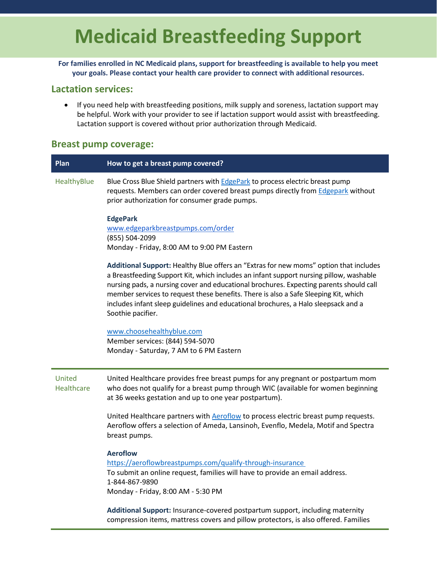## **Medicaid Breastfeeding Support**

**For families enrolled in NC Medicaid plans, support for breastfeeding is available to help you meet your goals. Please contact your health care provider to connect with additional resources.**

## **Lactation services:**

• If you need help with breastfeeding positions, milk supply and soreness, lactation support may be helpful. Work with your provider to see if lactation support would assist with breastfeeding. Lactation support is covered without prior authorization through Medicaid.

## **Breast pump coverage:**

| Plan                 | How to get a breast pump covered?                                                                                                                                                                                                                                                                                                                                                                                                                                           |
|----------------------|-----------------------------------------------------------------------------------------------------------------------------------------------------------------------------------------------------------------------------------------------------------------------------------------------------------------------------------------------------------------------------------------------------------------------------------------------------------------------------|
| HealthyBlue          | Blue Cross Blue Shield partners with <b>EdgePark</b> to process electric breast pump<br>requests. Members can order covered breast pumps directly from Edgepark without<br>prior authorization for consumer grade pumps.                                                                                                                                                                                                                                                    |
|                      | <b>EdgePark</b><br>www.edgeparkbreastpumps.com/order<br>(855) 504-2099<br>Monday - Friday, 8:00 AM to 9:00 PM Eastern                                                                                                                                                                                                                                                                                                                                                       |
|                      | Additional Support: Healthy Blue offers an "Extras for new moms" option that includes<br>a Breastfeeding Support Kit, which includes an infant support nursing pillow, washable<br>nursing pads, a nursing cover and educational brochures. Expecting parents should call<br>member services to request these benefits. There is also a Safe Sleeping Kit, which<br>includes infant sleep guidelines and educational brochures, a Halo sleepsack and a<br>Soothie pacifier. |
|                      | www.choosehealthyblue.com<br>Member services: (844) 594-5070<br>Monday - Saturday, 7 AM to 6 PM Eastern                                                                                                                                                                                                                                                                                                                                                                     |
| United<br>Healthcare | United Healthcare provides free breast pumps for any pregnant or postpartum mom<br>who does not qualify for a breast pump through WIC (available for women beginning<br>at 36 weeks gestation and up to one year postpartum).                                                                                                                                                                                                                                               |
|                      | United Healthcare partners with Aeroflow to process electric breast pump requests.<br>Aeroflow offers a selection of Ameda, Lansinoh, Evenflo, Medela, Motif and Spectra<br>breast pumps.                                                                                                                                                                                                                                                                                   |
|                      | <b>Aeroflow</b><br>https://aeroflowbreastpumps.com/qualify-through-insurance<br>To submit an online request, families will have to provide an email address.<br>1-844-867-9890<br>Monday - Friday, 8:00 AM - 5:30 PM                                                                                                                                                                                                                                                        |

**Additional Support:** Insurance-covered postpartum support, including maternity compression items, mattress covers and pillow protectors, is also offered. Families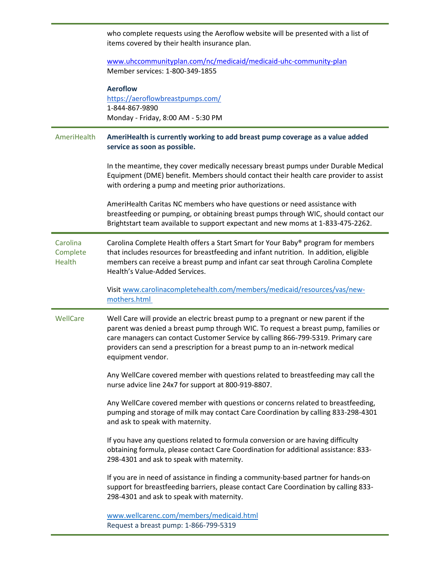|                                | who complete requests using the Aeroflow website will be presented with a list of<br>items covered by their health insurance plan.                                                                                                                                                                                                                               |
|--------------------------------|------------------------------------------------------------------------------------------------------------------------------------------------------------------------------------------------------------------------------------------------------------------------------------------------------------------------------------------------------------------|
|                                | www.uhccommunityplan.com/nc/medicaid/medicaid-uhc-community-plan<br>Member services: 1-800-349-1855                                                                                                                                                                                                                                                              |
|                                | <b>Aeroflow</b><br>https://aeroflowbreastpumps.com/<br>1-844-867-9890<br>Monday - Friday, 8:00 AM - 5:30 PM                                                                                                                                                                                                                                                      |
| AmeriHealth                    | AmeriHealth is currently working to add breast pump coverage as a value added<br>service as soon as possible.                                                                                                                                                                                                                                                    |
|                                | In the meantime, they cover medically necessary breast pumps under Durable Medical<br>Equipment (DME) benefit. Members should contact their health care provider to assist<br>with ordering a pump and meeting prior authorizations.                                                                                                                             |
|                                | AmeriHealth Caritas NC members who have questions or need assistance with<br>breastfeeding or pumping, or obtaining breast pumps through WIC, should contact our<br>Brightstart team available to support expectant and new moms at 1-833-475-2262.                                                                                                              |
| Carolina<br>Complete<br>Health | Carolina Complete Health offers a Start Smart for Your Baby® program for members<br>that includes resources for breastfeeding and infant nutrition. In addition, eligible<br>members can receive a breast pump and infant car seat through Carolina Complete<br>Health's Value-Added Services.                                                                   |
|                                | Visit www.carolinacompletehealth.com/members/medicaid/resources/vas/new-<br>mothers.html                                                                                                                                                                                                                                                                         |
| WellCare                       | Well Care will provide an electric breast pump to a pregnant or new parent if the<br>parent was denied a breast pump through WIC. To request a breast pump, families or<br>care managers can contact Customer Service by calling 866-799-5319. Primary care<br>providers can send a prescription for a breast pump to an in-network medical<br>equipment vendor. |
|                                | Any WellCare covered member with questions related to breastfeeding may call the<br>nurse advice line 24x7 for support at 800-919-8807.                                                                                                                                                                                                                          |
|                                | Any WellCare covered member with questions or concerns related to breastfeeding,<br>pumping and storage of milk may contact Care Coordination by calling 833-298-4301<br>and ask to speak with maternity.                                                                                                                                                        |
|                                | If you have any questions related to formula conversion or are having difficulty<br>obtaining formula, please contact Care Coordination for additional assistance: 833-<br>298-4301 and ask to speak with maternity.                                                                                                                                             |
|                                | If you are in need of assistance in finding a community-based partner for hands-on<br>support for breastfeeding barriers, please contact Care Coordination by calling 833-<br>298-4301 and ask to speak with maternity.                                                                                                                                          |
|                                | www.wellcarenc.com/members/medicaid.html<br>Request a breast pump: 1-866-799-5319                                                                                                                                                                                                                                                                                |